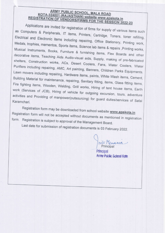## **ARMY PUBLIC SCHOOL, MALA ROAD** KOTA-324001 (RAJASTHAN) website www.apskota.in **REGISTRATION OF VENDORS/FIRMS FOR THE SESSION 2022-23**

Applications are invited for registration of firms for supply of various items such as Computers & Peripherals, IT items, Printers, Cartridge, Toners, toner refilling, Electrical and Electronic items including repairing, Office Stationery, Printing work, Medals, trophies, mementos, Sports items, Science lab items & repairs, Printing works, Musical Instruments, Books, Furniture & furnishing items, Flex Boards and other decorative items, Teaching Aids Audio-visual aids, Supply, making of pre-fabricated shelters, Construction works, ACs, Desert Coolers, Fans, Water Coolers, Water Purifiers including repairing, AMC, Art painting, Banners, Children Parks Equipments. Lawn movers including repairing, Hardware items, paints, White Wash items, Cement, Building Material for maintenance, repairing, Sanitary fitting, items, Glass fitting items, Fire fighting items, Wooden, Welding, Grill works, Hiring of tent house items, Earth work (Services of JCB), Hiring of vehicle for outgoing excursion, tours, adventure activities and Providing of manpower(outsourcing) for guard duties/services of Safai Karamchari.

Registration form may be downloaded from school website www.apskota.in Registration form will not be accepted without documents as mentioned in registration form. Registration is subject to approval of the Management Board.

Last date for submission of registration documents is 03 February 2022.

mit Menarca

Principal Arrny Public School Kote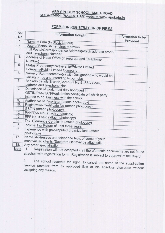## **ARMY PUBLIC SCHOOL, MALA ROAD** KOTA-324001 (RAJASTHAN) website www.apskota.in

## FORM FOR REGISTRATION OF FIRMS

| Ser<br><b>No</b> | <b>Information Sought</b>                                                                                  | Information to be |  |  |
|------------------|------------------------------------------------------------------------------------------------------------|-------------------|--|--|
| 1.               | Name of Firm (In Block Letters)                                                                            | Provided          |  |  |
| 2.               | Date of Establishment/Incorporation                                                                        |                   |  |  |
| 3.               | Full Postal/Correspondence Address(attach address proof)<br>and Telephone Number                           |                   |  |  |
| 4.               | Address of Head Office (if separate and Telephone<br>Number)                                               |                   |  |  |
| 5.               | Status Proprietary/Partnership/Private Limited<br>Company/Public Limited Company                           |                   |  |  |
| 6.               | Name of Representative(s) with Designation who would be<br>Calling on us and attending to our jobs         |                   |  |  |
| 7.               | Bankers details (Branch, Account No & IFSC Code,<br>address and telephone Nos                              |                   |  |  |
| 8.               | Description of work must duly approved in                                                                  |                   |  |  |
|                  | GSTIN/PAN/TAN/Registration certificate on which party<br>intends to do business with the school.           |                   |  |  |
| 9.               | Aadhar No of Proprietor (attach photocopy)                                                                 |                   |  |  |
| 10.              | Registration Certificate No (attach photocopy)                                                             |                   |  |  |
| 11.              | GSTIN (attach photocopy)                                                                                   |                   |  |  |
| 12.              | PAN/TAN No (attach photocopy)                                                                              |                   |  |  |
| 13.              | EPF No, if held (attach photocopy)                                                                         |                   |  |  |
| 14.              | Tax Clearance Certificate (attach photocopy)                                                               |                   |  |  |
| 15.              | Income Tax Return of Last three years                                                                      |                   |  |  |
| 16.              | Experience with govt/reputed organizations (attach<br>photocopy)                                           |                   |  |  |
| 17.              | Name, Addresses and telephone Nos, of some of your<br>most valued clients (Separate List may be attached). |                   |  |  |
| 18.              | Any other specialization                                                                                   |                   |  |  |
|                  | $\overline{A}$                                                                                             |                   |  |  |

Registration will not accepted if all the aforesaid documents are not found <u>Note</u>:- 1. attached with registration form. Registration is subject to approval of the Board.

The school reserves the right to cancel the name of the supplier/firm  $2.$ /service provider from its approved lists at his absolute discretion without assigning any reason.